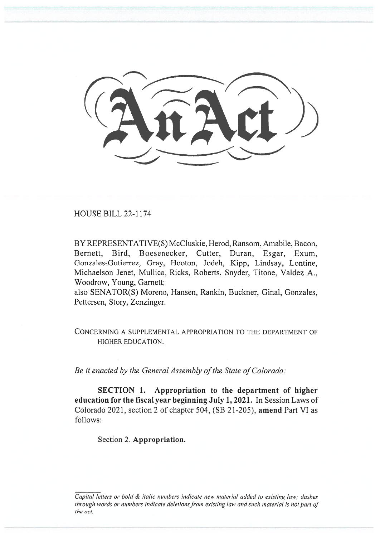HOUSE BILL 22-1174

BY REPRESENTATIVE(S) McCluskie, Herod, Ransom, Amabile, Bacon. Bernett, Bird, Boesenecker, Cutter, Duran, Esgar, Exum, Gonzales-Gutierrez, Gray, Hooton, Jodeh, Kipp. Lindsay, Lontine, Michaelson Jenet, Mullica, Ricks, Roberts, Snyder, Titone, Valdez A., Woodrow, Young, Garnett;

also SENATOR(S) Moreno, Hansen, Rankin, Buckner, Ginal, Gonzales, Pettersen, Story, Zenzinger.

CONCERNING A SUPPLEMENTAL APPROPRIATION TO THE DEPARTMENT OF HIGHER EDUCATION.

Be it enacted by the General Assembly of the State of Colorado:

SECTION 1. Appropriation to the department of higher education for the fiscal year beginning July 1, 2021. In Session Laws of Colorado 2021, section 2 of chapter 504, (SB 21-205), amend Part VI as follows:

Section 2. Appropriation.

Capital letters or bold & italic numbers indicate new material added to existing law; dashes through words or numbers indicate deletions from existing law and such material is not part of the act.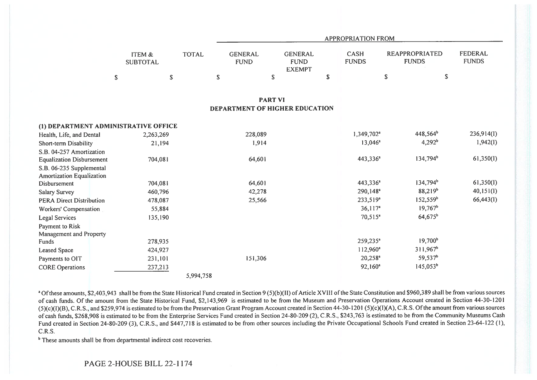|                                      |                           |              |                                | <b>APPROPRIATION FROM</b>                      |    |                             |                                       |                                |  |  |  |  |
|--------------------------------------|---------------------------|--------------|--------------------------------|------------------------------------------------|----|-----------------------------|---------------------------------------|--------------------------------|--|--|--|--|
|                                      | ITEM &<br><b>SUBTOTAL</b> | <b>TOTAL</b> | <b>GENERAL</b><br><b>FUND</b>  | <b>GENERAL</b><br><b>FUND</b><br><b>EXEMPT</b> |    | <b>CASH</b><br><b>FUNDS</b> | <b>REAPPROPRIATED</b><br><b>FUNDS</b> | <b>FEDERAL</b><br><b>FUNDS</b> |  |  |  |  |
|                                      | $\mathbb S$               | $\mathbb S$  | $\mathbb S$                    | $\mathbb S$                                    | \$ |                             | $\mathbb S$                           | \$                             |  |  |  |  |
|                                      |                           |              | <b>PART VI</b>                 |                                                |    |                             |                                       |                                |  |  |  |  |
|                                      |                           |              | DEPARTMENT OF HIGHER EDUCATION |                                                |    |                             |                                       |                                |  |  |  |  |
| (1) DEPARTMENT ADMINISTRATIVE OFFICE |                           |              |                                |                                                |    |                             |                                       |                                |  |  |  |  |
| Health, Life, and Dental             | 2,263,269                 |              | 228,089                        |                                                |    | 1,349,702 <sup>a</sup>      | 448,564 <sup>b</sup>                  | 236,914(I)                     |  |  |  |  |
| Short-term Disability                | 21,194                    |              | 1,914                          |                                                |    | $13,046^a$                  | $4,292^b$                             | 1,942(1)                       |  |  |  |  |
| S.B. 04-257 Amortization             |                           |              |                                |                                                |    |                             |                                       |                                |  |  |  |  |
| <b>Equalization Disbursement</b>     | 704,081                   |              | 64,601                         |                                                |    | 443,336 <sup>a</sup>        | 134,794 <sup>b</sup>                  | 61,350(I)                      |  |  |  |  |
| S.B. 06-235 Supplemental             |                           |              |                                |                                                |    |                             |                                       |                                |  |  |  |  |
| <b>Amortization Equalization</b>     |                           |              |                                |                                                |    |                             |                                       |                                |  |  |  |  |
| Disbursement                         | 704,081                   |              | 64,601                         |                                                |    | 443,336 <sup>a</sup>        | 134,794 <sup>b</sup>                  | 61,350(I)                      |  |  |  |  |
| <b>Salary Survey</b>                 | 460,796                   |              | 42,278                         |                                                |    | 290,148 <sup>a</sup>        | 88,219 <sup>b</sup>                   | 40,151(I)                      |  |  |  |  |
| <b>PERA Direct Distribution</b>      | 478,087                   |              | 25,566                         |                                                |    | $233,519^a$                 | 152,559 <sup>b</sup>                  | 66,443(1)                      |  |  |  |  |
| Workers' Compensation                | 55,884                    |              |                                |                                                |    | 36,117 <sup>a</sup>         | $19,767^b$                            |                                |  |  |  |  |
| Legal Services                       | 135,190                   |              |                                |                                                |    | $70,515^a$                  | 64,675 <sup>b</sup>                   |                                |  |  |  |  |
| Payment to Risk                      |                           |              |                                |                                                |    |                             |                                       |                                |  |  |  |  |
| Management and Property              |                           |              |                                |                                                |    |                             |                                       |                                |  |  |  |  |
| Funds                                | 278,935                   |              |                                |                                                |    | 259,235 <sup>a</sup>        | 19,700 <sup>b</sup>                   |                                |  |  |  |  |
| <b>Leased Space</b>                  | 424,927                   |              |                                |                                                |    | 112,960 <sup>a</sup>        | $311,967^b$                           |                                |  |  |  |  |
| Payments to OIT                      | 231,101                   |              | 151,306                        |                                                |    | $20,258^a$                  | 59,537 <sup>b</sup>                   |                                |  |  |  |  |
| <b>CORE Operations</b>               | 237,213                   |              |                                |                                                |    | $92,160^a$                  | 145,053 <sup>b</sup>                  |                                |  |  |  |  |
|                                      |                           | 5,994,758    |                                |                                                |    |                             |                                       |                                |  |  |  |  |

<sup>a</sup> Of these amounts, \$2,403,943 shall be from the State Historical Fund created in Section 9 (5)(b)(II) of Article XVIII of the State Constitution and \$960,389 shall be from various sources of cash funds. Of the amount from the State Historical Fund, \$2,143,969 is estimated to be from the Museum and Preservation Operations Account created in Section 44-30-1201 (5)(c)(I)(B), C.R.S., and \$259,974 is estimated to be from the Preservation Grant Program Account created in Section 44-30-1201 (5)(c)(I)(A), C.R.S. Of the amount from various sources of cash funds, \$268,908 is estimated to be from the Enterprise Services Fund created in Section 24-80-209 (2), C.R.S., \$243,763 is estimated to be from the Community Museums Cash Fund created in Section 24-80-209 (3), C.R.S., and \$447,718 is estimated to be from other sources including the Private Occupational Schools Fund created in Section 23-64-122 (1), C.R.S.

<sup>b</sup> These amounts shall be from departmental indirect cost recoveries.

PAGE 2-HOUSE BILL 22-1174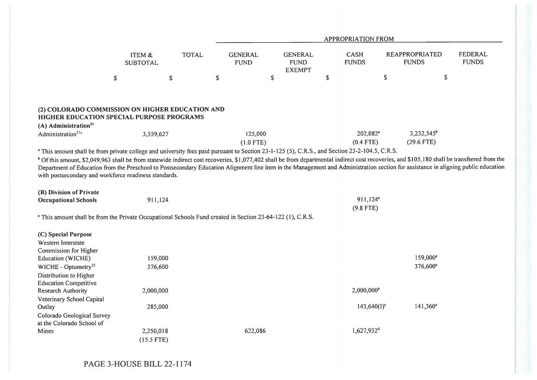|                                                                                                                                                                                                                                                                                                                                                                                                                                                        |                           |              |                               |                                                | <b>APPROPRIATION FROM</b>             |                                       |             |                         |
|--------------------------------------------------------------------------------------------------------------------------------------------------------------------------------------------------------------------------------------------------------------------------------------------------------------------------------------------------------------------------------------------------------------------------------------------------------|---------------------------|--------------|-------------------------------|------------------------------------------------|---------------------------------------|---------------------------------------|-------------|-------------------------|
|                                                                                                                                                                                                                                                                                                                                                                                                                                                        | ITEM &<br><b>SUBTOTAL</b> | <b>TOTAL</b> | <b>GENERAL</b><br><b>FUND</b> | <b>GENERAL</b><br><b>FUND</b><br><b>EXEMPT</b> | <b>CASH</b><br><b>FUNDS</b>           | <b>REAPPROPRIATED</b><br><b>FUNDS</b> |             | FEDERAL<br><b>FUNDS</b> |
|                                                                                                                                                                                                                                                                                                                                                                                                                                                        | \$                        | \$           | $\mathbb{S}$                  | \$                                             | \$                                    | $\mathbb S$                           | $\mathbb S$ |                         |
|                                                                                                                                                                                                                                                                                                                                                                                                                                                        |                           |              |                               |                                                |                                       |                                       |             |                         |
| (2) COLORADO COMMISSION ON HIGHER EDUCATION AND<br>HIGHER EDUCATION SPECIAL PURPOSE PROGRAMS                                                                                                                                                                                                                                                                                                                                                           |                           |              |                               |                                                |                                       |                                       |             |                         |
| (A) Administration <sup>21</sup>                                                                                                                                                                                                                                                                                                                                                                                                                       |                           |              |                               |                                                |                                       |                                       |             |                         |
| Administration <sup>21a</sup>                                                                                                                                                                                                                                                                                                                                                                                                                          | 3,559,627                 |              | 125,000                       |                                                | 202,082 <sup>a</sup>                  | $3,232,545^b$                         |             |                         |
|                                                                                                                                                                                                                                                                                                                                                                                                                                                        |                           |              | $(1.0$ FTE)                   |                                                | $(0.4$ FTE)                           | $(29.6$ FTE)                          |             |                         |
| <sup>a</sup> This amount shall be from private college and university fees paid pursuant to Section 23-1-125 (5), C.R.S., and Section 23-2-104.5, C.R.S.                                                                                                                                                                                                                                                                                               |                           |              |                               |                                                |                                       |                                       |             |                         |
| <sup>b</sup> Of this amount, \$2,049,963 shall be from statewide indirect cost recoveries, \$1,077,402 shall be from departmental indirect cost recoveries, and \$105,180 shall be transferred from the<br>Department of Education from the Preschool to Postsecondary Education Alignment line item in the Management and Administration section for assistance in aligning public education<br>with postsecondary and workforce readiness standards. |                           |              |                               |                                                |                                       |                                       |             |                         |
| (B) Division of Private                                                                                                                                                                                                                                                                                                                                                                                                                                |                           |              |                               |                                                |                                       |                                       |             |                         |
| <b>Occupational Schools</b>                                                                                                                                                                                                                                                                                                                                                                                                                            | 911,124                   |              |                               |                                                | $911,124$ <sup>a</sup><br>$(9.8$ FTE) |                                       |             |                         |
| <sup>a</sup> This amount shall be from the Private Occupational Schools Fund created in Section 23-64-122 (1), C.R.S.                                                                                                                                                                                                                                                                                                                                  |                           |              |                               |                                                |                                       |                                       |             |                         |
| (C) Special Purpose                                                                                                                                                                                                                                                                                                                                                                                                                                    |                           |              |                               |                                                |                                       |                                       |             |                         |
| Western Interstate                                                                                                                                                                                                                                                                                                                                                                                                                                     |                           |              |                               |                                                |                                       |                                       |             |                         |
| Commission for Higher                                                                                                                                                                                                                                                                                                                                                                                                                                  |                           |              |                               |                                                |                                       |                                       |             |                         |
| Education (WICHE)                                                                                                                                                                                                                                                                                                                                                                                                                                      | 159,000                   |              |                               |                                                |                                       | 159,000 <sup>a</sup>                  |             |                         |
| WICHE - Optometry <sup>22</sup>                                                                                                                                                                                                                                                                                                                                                                                                                        | 376,600                   |              |                               |                                                |                                       | 376,600 <sup>a</sup>                  |             |                         |
| Distribution to Higher                                                                                                                                                                                                                                                                                                                                                                                                                                 |                           |              |                               |                                                |                                       |                                       |             |                         |
| <b>Education Competitive</b>                                                                                                                                                                                                                                                                                                                                                                                                                           |                           |              |                               |                                                |                                       |                                       |             |                         |
| <b>Research Authority</b>                                                                                                                                                                                                                                                                                                                                                                                                                              | 2,000,000                 |              |                               |                                                | 2,000,000 <sup>b</sup>                |                                       |             |                         |
| Veterinary School Capital<br>Outlay                                                                                                                                                                                                                                                                                                                                                                                                                    | 285,000                   |              |                               |                                                | $143,640(I)^c$                        | 141,360 <sup>a</sup>                  |             |                         |
| Colorado Geological Survey                                                                                                                                                                                                                                                                                                                                                                                                                             |                           |              |                               |                                                |                                       |                                       |             |                         |
| at the Colorado School of                                                                                                                                                                                                                                                                                                                                                                                                                              |                           |              |                               |                                                |                                       |                                       |             |                         |
| Mines                                                                                                                                                                                                                                                                                                                                                                                                                                                  | 2,250,018                 |              | 622,086                       |                                                | 1,627,932 <sup>d</sup>                |                                       |             |                         |
|                                                                                                                                                                                                                                                                                                                                                                                                                                                        | $(15.5$ FTE)              |              |                               |                                                |                                       |                                       |             |                         |
|                                                                                                                                                                                                                                                                                                                                                                                                                                                        |                           |              |                               |                                                |                                       |                                       |             |                         |

PAGE 3-HOUSE BILL 22-1174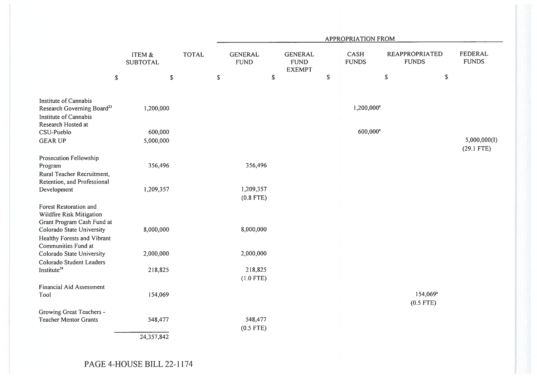| <b>TOTAL</b> | <b>GENERAL</b><br><b>FUND</b><br>$\mathbb S$ | <b>GENERAL</b><br><b>FUND</b><br><b>EXEMPT</b><br>\$ | $\mathbb S$ | CASH<br><b>FUNDS</b><br>$1,200,000$ <sup>e</sup> | <b>REAPPROPRIATED</b><br><b>FUNDS</b><br>${\mathbb S}$ | \$<br><b>FEDERAL</b><br><b>FUNDS</b>                             |
|--------------|----------------------------------------------|------------------------------------------------------|-------------|--------------------------------------------------|--------------------------------------------------------|------------------------------------------------------------------|
|              |                                              |                                                      |             |                                                  |                                                        |                                                                  |
|              |                                              |                                                      |             |                                                  |                                                        |                                                                  |
|              |                                              |                                                      |             |                                                  |                                                        |                                                                  |
|              |                                              |                                                      |             | 600,000°                                         |                                                        |                                                                  |
|              |                                              |                                                      |             |                                                  |                                                        | 5,000,000(I)                                                     |
|              |                                              |                                                      |             |                                                  |                                                        | $(29.1$ FTE)                                                     |
|              | 356,496                                      |                                                      |             |                                                  |                                                        |                                                                  |
|              |                                              |                                                      |             |                                                  |                                                        |                                                                  |
|              | 1,209,357                                    |                                                      |             |                                                  |                                                        |                                                                  |
|              | $(0.8$ FTE)<br>8,000,000                     |                                                      |             |                                                  |                                                        |                                                                  |
|              |                                              |                                                      |             |                                                  |                                                        |                                                                  |
|              | 2,000,000                                    |                                                      |             |                                                  |                                                        |                                                                  |
|              | 218,825<br>$(1.0$ FTE)                       |                                                      |             |                                                  |                                                        |                                                                  |
|              |                                              |                                                      |             |                                                  |                                                        |                                                                  |
|              |                                              |                                                      |             |                                                  |                                                        |                                                                  |
|              |                                              |                                                      |             |                                                  |                                                        |                                                                  |
|              | 548,477<br>$(0.5$ FTE)                       |                                                      |             |                                                  |                                                        |                                                                  |
|              |                                              |                                                      |             |                                                  |                                                        |                                                                  |
|              |                                              |                                                      |             |                                                  |                                                        | 154,069 <sup>a</sup><br>$(0.5$ FTE)<br>PAGE 4-HOUSE BILL 22-1174 |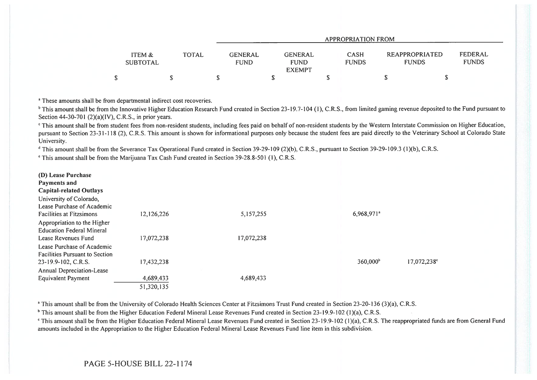|                                                      | <b>APPROPRIATION FROM</b>     |                                                |  |                             |                                |  |                         |  |  |
|------------------------------------------------------|-------------------------------|------------------------------------------------|--|-----------------------------|--------------------------------|--|-------------------------|--|--|
| <b>TOTAL</b><br><b>ITEM &amp;</b><br><b>SUBTOTAL</b> | <b>GENERAL</b><br><b>FUND</b> | <b>GENERAL</b><br><b>FUND</b><br><b>EXEMPT</b> |  | <b>CASH</b><br><b>FUNDS</b> | REAPPROPRIATED<br><b>FUNDS</b> |  | FEDERAL<br><b>FUNDS</b> |  |  |
|                                                      |                               |                                                |  |                             |                                |  |                         |  |  |

<sup>a</sup> These amounts shall be from departmental indirect cost recoveries.

<sup>b</sup> This amount shall be from the Innovative Higher Education Research Fund created in Section 23-19.7-104 (1), C.R.S., from limited gaming revenue deposited to the Fund pursuant to Section 44-30-701 (2)(a)(IV), C.R.S., in prior years.

This amount shall be from student fees from non-resident students, including fees paid on behalf of non-resident students by the Western Interstate Commission on Higher Education, pursuant to Section 23-31-118 (2), C.R.S. This amount is shown for informational purposes only because the student fees are paid directly to the Veterinary School at Colorado State University.

<sup>d</sup> This amount shall be from the Severance Tax Operational Fund created in Section 39-29-109 (2)(b), C.R.S., pursuant to Section 39-29-109.3 (1)(b), C.R.S.

`This amount shall be from the Marijuana Tax Cash Fund created in Section 39-28.8-501 (1), C.R.S.

| (D) Lease Purchase<br>Payments and<br><b>Capital-related Outlays</b>                       |                          |            |                        |             |
|--------------------------------------------------------------------------------------------|--------------------------|------------|------------------------|-------------|
| University of Colorado,<br>Lease Purchase of Academic                                      |                          |            |                        |             |
| <b>Facilities at Fitzsimons</b>                                                            | 12,126,226               | 5,157,255  | 6,968,971 <sup>ª</sup> |             |
| Appropriation to the Higher<br><b>Education Federal Mineral</b><br>Lease Revenues Fund     |                          | 17,072,238 |                        |             |
| Lease Purchase of Academic<br><b>Facilities Pursuant to Section</b><br>23-19.9-102, C.R.S. | 17,072,238<br>17,432,238 |            | $360,000^{\circ}$      | 17,072,238° |
| Annual Depreciation-Lease                                                                  |                          |            |                        |             |
| Equivalent Payment                                                                         | 4,689,433                | 4,689,433  |                        |             |
|                                                                                            | 51,320,135               |            |                        |             |

<sup>a</sup> This amount shall be from the University of Colorado Health Sciences Center at Fitzsimons Trust Fund created in Section 23-20-136 (3)(a), C.R.S.

<sup>b</sup> This amount shall be from the Higher Education Federal Mineral Lease Revenues Fund created in Section 23-19.9-102 (1)(a), C.R.S.

<sup>c</sup> This amount shall be from the Higher Education Federal Mineral Lease Revenues Fund created in Section 23-19.9-102 (1)(a), C.R.S. The reappropriated funds are from General Fund amounts included in the Appropriation to the Higher Education Federal Mineral Lease Revenues Fund line item in this subdivision.

## PAGE 5-HOUSE BILL 22-1174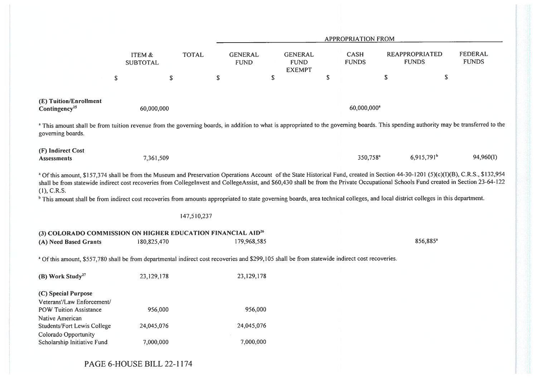|                                                                                                                                                                                                                                                                                                                                                                                                                                                                                                                                                                                                            |                           |              |                               |             |                                                |             | <b>APPROPRIATION FROM</b>   |                                       |                          |                         |
|------------------------------------------------------------------------------------------------------------------------------------------------------------------------------------------------------------------------------------------------------------------------------------------------------------------------------------------------------------------------------------------------------------------------------------------------------------------------------------------------------------------------------------------------------------------------------------------------------------|---------------------------|--------------|-------------------------------|-------------|------------------------------------------------|-------------|-----------------------------|---------------------------------------|--------------------------|-------------------------|
|                                                                                                                                                                                                                                                                                                                                                                                                                                                                                                                                                                                                            | ITEM &<br><b>SUBTOTAL</b> | <b>TOTAL</b> | <b>GENERAL</b><br><b>FUND</b> |             | <b>GENERAL</b><br><b>FUND</b><br><b>EXEMPT</b> |             | <b>CASH</b><br><b>FUNDS</b> | <b>REAPPROPRIATED</b><br><b>FUNDS</b> |                          | FEDERAL<br><b>FUNDS</b> |
| $\mathbb S$                                                                                                                                                                                                                                                                                                                                                                                                                                                                                                                                                                                                | \$                        |              | $\mathbb{S}$                  | $\mathbb S$ |                                                | $\mathbb S$ |                             | $\boldsymbol{\mathbb{S}}$             | $\mathbb S$              |                         |
| (E) Tuition/Enrollment<br>Contingency <sup>25</sup>                                                                                                                                                                                                                                                                                                                                                                                                                                                                                                                                                        | 60,000,000                |              |                               |             |                                                |             | 60,000,000 <sup>a</sup>     |                                       |                          |                         |
| a This amount shall be from tuition revenue from the governing boards, in addition to what is appropriated to the governing boards. This spending authority may be transferred to the<br>governing boards.                                                                                                                                                                                                                                                                                                                                                                                                 |                           |              |                               |             |                                                |             |                             |                                       |                          |                         |
| (F) Indirect Cost<br><b>Assessments</b>                                                                                                                                                                                                                                                                                                                                                                                                                                                                                                                                                                    | 7,361,509                 |              |                               |             |                                                |             | 350,758 <sup>a</sup>        |                                       | $6,915,791$ <sup>b</sup> | 94,960(I)               |
| <sup>a</sup> Of this amount, \$157,374 shall be from the Museum and Preservation Operations Account of the State Historical Fund, created in Section 44-30-1201 (5)(c)(I)(B), C.R.S., \$132,954<br>shall be from statewide indirect cost recoveries from CollegeInvest and CollegeAssist, and \$60,430 shall be from the Private Occupational Schools Fund created in Section 23-64-122<br>$(1)$ , C.R.S.<br><sup>b</sup> This amount shall be from indirect cost recoveries from amounts appropriated to state governing boards, area technical colleges, and local district colleges in this department. |                           |              |                               |             |                                                |             |                             |                                       |                          |                         |
|                                                                                                                                                                                                                                                                                                                                                                                                                                                                                                                                                                                                            |                           | 147,510,237  |                               |             |                                                |             |                             |                                       |                          |                         |
| (3) COLORADO COMMISSION ON HIGHER EDUCATION FINANCIAL AID <sup>26</sup>                                                                                                                                                                                                                                                                                                                                                                                                                                                                                                                                    |                           |              |                               |             |                                                |             |                             |                                       |                          |                         |
| (A) Need Based Grants                                                                                                                                                                                                                                                                                                                                                                                                                                                                                                                                                                                      | 180,825,470               |              | 179,968,585                   |             |                                                |             |                             |                                       | 856,885 <sup>a</sup>     |                         |
| a Of this amount, \$557,780 shall be from departmental indirect cost recoveries and \$299,105 shall be from statewide indirect cost recoveries.                                                                                                                                                                                                                                                                                                                                                                                                                                                            |                           |              |                               |             |                                                |             |                             |                                       |                          |                         |
| (B) Work Study <sup>27</sup>                                                                                                                                                                                                                                                                                                                                                                                                                                                                                                                                                                               | 23,129,178                |              | 23,129,178                    |             |                                                |             |                             |                                       |                          |                         |
| (C) Special Purpose<br>Veterans'/Law Enforcement/<br><b>POW Tuition Assistance</b>                                                                                                                                                                                                                                                                                                                                                                                                                                                                                                                         | 956,000                   |              | 956,000                       |             |                                                |             |                             |                                       |                          |                         |
| Native American<br>Students/Fort Lewis College                                                                                                                                                                                                                                                                                                                                                                                                                                                                                                                                                             | 24,045,076                |              | 24,045,076                    |             |                                                |             |                             |                                       |                          |                         |
| Colorado Opportunity<br>Scholarship Initiative Fund                                                                                                                                                                                                                                                                                                                                                                                                                                                                                                                                                        | 7,000,000                 |              | 7,000,000                     |             |                                                |             |                             |                                       |                          |                         |

PAGE 6-HOUSE BILL 22-1174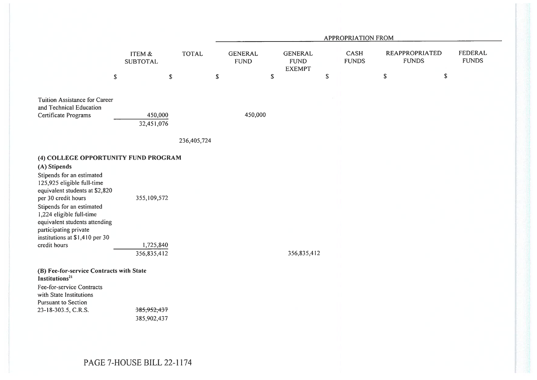|                                                                                                                                                                                                                                                                                                                                               |                                         |              | <b>APPROPRIATION FROM</b> |                               |                                                |             |                      |                                       |    |                                |
|-----------------------------------------------------------------------------------------------------------------------------------------------------------------------------------------------------------------------------------------------------------------------------------------------------------------------------------------------|-----------------------------------------|--------------|---------------------------|-------------------------------|------------------------------------------------|-------------|----------------------|---------------------------------------|----|--------------------------------|
|                                                                                                                                                                                                                                                                                                                                               | ITEM &<br><b>SUBTOTAL</b>               | <b>TOTAL</b> |                           | <b>GENERAL</b><br><b>FUND</b> | <b>GENERAL</b><br><b>FUND</b><br><b>EXEMPT</b> |             | CASH<br><b>FUNDS</b> | <b>REAPPROPRIATED</b><br><b>FUNDS</b> |    | <b>FEDERAL</b><br><b>FUNDS</b> |
| \$                                                                                                                                                                                                                                                                                                                                            |                                         | $\mathbb S$  | $\mathbb S$               |                               | \$                                             | $\mathbb S$ |                      | $\mathbb S$                           | \$ |                                |
| Tuition Assistance for Career<br>and Technical Education<br>Certificate Programs                                                                                                                                                                                                                                                              | 450,000<br>32,451,076                   |              |                           | 450,000                       |                                                |             |                      |                                       |    |                                |
|                                                                                                                                                                                                                                                                                                                                               |                                         | 236,405,724  |                           |                               |                                                |             |                      |                                       |    |                                |
| (4) COLLEGE OPPORTUNITY FUND PROGRAM<br>(A) Stipends<br>Stipends for an estimated<br>125,925 eligible full-time<br>equivalent students at \$2,820<br>per 30 credit hours<br>Stipends for an estimated<br>1,224 eligible full-time<br>equivalent students attending<br>participating private<br>institutions at \$1,410 per 30<br>credit hours | 355,109,572<br>1,725,840<br>356,835,412 |              |                           |                               | 356,835,412                                    |             |                      |                                       |    |                                |
| (B) Fee-for-service Contracts with State<br>Institutions <sup>21</sup><br>Fee-for-service Contracts<br>with State Institutions<br>Pursuant to Section<br>23-18-303.5, C.R.S.                                                                                                                                                                  | 385,952,437<br>385,902,437              |              |                           |                               |                                                |             |                      |                                       |    |                                |

PAGE 7-HOUSE BILL 22-1174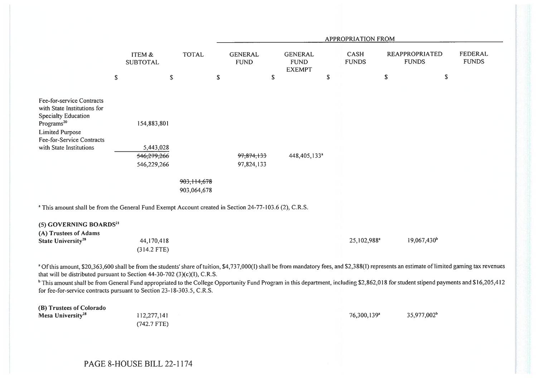|                                                                                                                                                                                                                                                                                                                                                                                                                                                                                                                                                         |                                         |                              |             |                               |                                                |             | APPROPRIATION FROM          |               |                                       |                                |
|---------------------------------------------------------------------------------------------------------------------------------------------------------------------------------------------------------------------------------------------------------------------------------------------------------------------------------------------------------------------------------------------------------------------------------------------------------------------------------------------------------------------------------------------------------|-----------------------------------------|------------------------------|-------------|-------------------------------|------------------------------------------------|-------------|-----------------------------|---------------|---------------------------------------|--------------------------------|
|                                                                                                                                                                                                                                                                                                                                                                                                                                                                                                                                                         | ITEM &<br><b>SUBTOTAL</b>               | <b>TOTAL</b>                 |             | <b>GENERAL</b><br><b>FUND</b> | <b>GENERAL</b><br><b>FUND</b><br><b>EXEMPT</b> |             | <b>CASH</b><br><b>FUNDS</b> |               | <b>REAPPROPRIATED</b><br><b>FUNDS</b> | <b>FEDERAL</b><br><b>FUNDS</b> |
|                                                                                                                                                                                                                                                                                                                                                                                                                                                                                                                                                         | \$<br>\$                                |                              | $\mathbb S$ | \$                            |                                                | $\mathbb S$ |                             | ${\mathbb S}$ | \$                                    |                                |
| Fee-for-service Contracts<br>with State Institutions for<br>Specialty Education<br>Programs <sup>20</sup><br><b>Limited Purpose</b>                                                                                                                                                                                                                                                                                                                                                                                                                     | 154,883,801                             |                              |             |                               |                                                |             |                             |               |                                       |                                |
| Fee-for-Service Contracts<br>with State Institutions                                                                                                                                                                                                                                                                                                                                                                                                                                                                                                    | 5,443,028<br>546,279,266<br>546,229,266 |                              |             | 97,874,133<br>97,824,133      | 448,405,133 <sup>ª</sup>                       |             |                             |               |                                       |                                |
|                                                                                                                                                                                                                                                                                                                                                                                                                                                                                                                                                         |                                         | 903, 114, 678<br>903,064,678 |             |                               |                                                |             |                             |               |                                       |                                |
| <sup>a</sup> This amount shall be from the General Fund Exempt Account created in Section 24-77-103.6 (2), C.R.S.                                                                                                                                                                                                                                                                                                                                                                                                                                       |                                         |                              |             |                               |                                                |             |                             |               |                                       |                                |
| (5) GOVERNING BOARDS <sup>21</sup><br>(A) Trustees of Adams                                                                                                                                                                                                                                                                                                                                                                                                                                                                                             |                                         |                              |             |                               |                                                |             |                             |               |                                       |                                |
| State University <sup>28</sup>                                                                                                                                                                                                                                                                                                                                                                                                                                                                                                                          | 44,170,418<br>$(314.2$ FTE)             |                              |             |                               |                                                |             | 25,102,988 <sup>a</sup>     |               | 19,067,430 <sup>b</sup>               |                                |
| a Of this amount, \$20,363,600 shall be from the students' share of tuition, \$4,737,000(I) shall be from mandatory fees, and \$2,388(I) represents an estimate of limited gaming tax revenues<br>that will be distributed pursuant to Section 44-30-702 (3)(c)(I), C.R.S.<br><sup>b</sup> This amount shall be from General Fund appropriated to the College Opportunity Fund Program in this department, including \$2,862,018 for student stipend payments and \$16,205,412<br>for fee-for-service contracts pursuant to Section 23-18-303.5, C.R.S. |                                         |                              |             |                               |                                                |             |                             |               |                                       |                                |
| (B) Trustees of Colorado<br>Mesa University <sup>28</sup>                                                                                                                                                                                                                                                                                                                                                                                                                                                                                               | 112,277,141                             |                              |             |                               |                                                |             | 76,300,139 <sup>a</sup>     |               | 35,977,002 <sup>b</sup>               |                                |

PAGE 8-HOUSE BILL 22-1174

(742.7 FTE)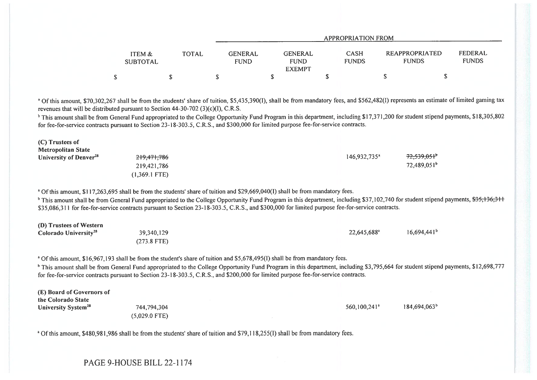|                           |       | <b>APPROPRIATION FROM</b>     |                                                |  |                             |                                |  |                         |  |  |  |
|---------------------------|-------|-------------------------------|------------------------------------------------|--|-----------------------------|--------------------------------|--|-------------------------|--|--|--|
| ITEM &<br><b>SUBTOTAL</b> | TOTAL | <b>GENERAL</b><br><b>FUND</b> | <b>GENERAL</b><br><b>FUND</b><br><b>EXEMPT</b> |  | <b>CASH</b><br><b>FUNDS</b> | REAPPROPRIATED<br><b>FUNDS</b> |  | FEDERAL<br><b>FUNDS</b> |  |  |  |
|                           |       |                               |                                                |  |                             |                                |  |                         |  |  |  |

<sup>a</sup> Of this amount, \$70,302,267 shall be from the students' share of tuition, \$5,435,390(1), shall be from mandatory fees, and \$562,482(1) represents an estimate of limited gaming tax revenues that will be distributed pursuant to Section 44-30-702 (3)(c)(I), C.R.S.

<sup>b</sup> This amount shall be from General Fund appropriated to the College Opportunity Fund Program in this department, including \$17,371,200 for student stipend payments, \$18,305,802 for fee-for-service contracts pursuant to Section 23-18-303.5, C.R.S., and \$300,000 for limited purpose fee-for-service contracts.

| (C) Trustees of                    |                        |                            |                           |
|------------------------------------|------------------------|----------------------------|---------------------------|
| <b>Metropolitan State</b>          |                        |                            |                           |
| University of Denver <sup>28</sup> | <del>219,471,786</del> | $146,932,735$ <sup>a</sup> | $72,539,051$ <sup>b</sup> |
|                                    | 219,421,786            |                            | $72,489,051^{\circ}$      |
|                                    | $(1,369.1$ FTE)        |                            |                           |

<sup>a</sup> Of this amount, \$117,263,695 shall be from the students' share of tuition and \$29,669,040(1) shall be from mandatory fees.

<sup>b</sup> This amount shall be from General Fund appropriated to the College Opportunity Fund Program in this department, including \$37,102,740 for student stipend payments,  $$35,136,311$ \$35,086.311 for fee-for-service contracts pursuant to Section 23-18-303.5, C.R.S., and \$300,000 for limited purpose fee-for-service contracts.

| (D) Trustees of Western           |               |                         |                |
|-----------------------------------|---------------|-------------------------|----------------|
| Colorado University <sup>28</sup> | 39,340,129    | 22,645,688 <sup>a</sup> | $16,694,441^b$ |
|                                   | $(273.8$ FTE) |                         |                |

<sup>a</sup> Of this amount, \$16,967,193 shall be from the student's share of tuition and \$5,678,495(I) shall be from mandatory fees.

<sup>b</sup> This amount shall be from General Fund appropriated to the College Opportunity Fund Program in this department, including \$3,795,664 for student stipend payments, \$12,698,777 for fee-for-service contracts pursuant to Section 23-18-303.5, C.R.S., and \$200,000 for limited purpose fee-for-service contracts.

| (E) Board of Governors of<br>the Colorado State |                 |  |                            |                          |
|-------------------------------------------------|-----------------|--|----------------------------|--------------------------|
| University System <sup>28</sup>                 | 744,794,304     |  | $560.100.241$ <sup>a</sup> | 184,694,063 <sup>b</sup> |
|                                                 | $(5,029.0$ FTE) |  |                            |                          |

<sup>a</sup> Of this amount, \$480,981,986 shall be from the students' share of tuition and \$79,118,255(I) shall be from mandatory fees.

PAGE 9-HOUSE BILL 22-1174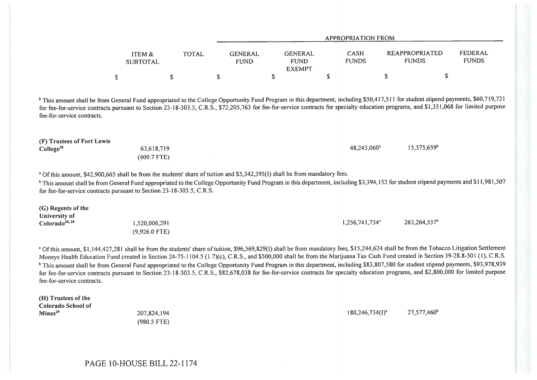|                                                     |                                                                                                                                                                                                                                                                                                                                                                                                                                                                                                                                                                                                                                                                                                                                                                                         |              |                               | <b>APPROPRIATION FROM</b>                      |    |                             |                                       |                          |                                |  |  |
|-----------------------------------------------------|-----------------------------------------------------------------------------------------------------------------------------------------------------------------------------------------------------------------------------------------------------------------------------------------------------------------------------------------------------------------------------------------------------------------------------------------------------------------------------------------------------------------------------------------------------------------------------------------------------------------------------------------------------------------------------------------------------------------------------------------------------------------------------------------|--------------|-------------------------------|------------------------------------------------|----|-----------------------------|---------------------------------------|--------------------------|--------------------------------|--|--|
|                                                     | ITEM &<br><b>SUBTOTAL</b>                                                                                                                                                                                                                                                                                                                                                                                                                                                                                                                                                                                                                                                                                                                                                               | <b>TOTAL</b> | <b>GENERAL</b><br><b>FUND</b> | <b>GENERAL</b><br><b>FUND</b><br><b>EXEMPT</b> |    | <b>CASH</b><br><b>FUNDS</b> | <b>REAPPROPRIATED</b><br><b>FUNDS</b> |                          | <b>FEDERAL</b><br><b>FUNDS</b> |  |  |
|                                                     | \$                                                                                                                                                                                                                                                                                                                                                                                                                                                                                                                                                                                                                                                                                                                                                                                      | S            | \$                            | S                                              | \$ |                             | S                                     | $\mathbb S$              |                                |  |  |
| fee-for-service contracts.                          | <sup>b</sup> This amount shall be from General Fund appropriated to the College Opportunity Fund Program in this department, including \$50,417,511 for student stipend payments, \$60,719,721<br>for fee-for-service contracts pursuant to Section 23-18-303.5, C.R.S., \$72,205,763 for fee-for-service contracts for specialty education programs, and \$1,351,068 for limited purpose                                                                                                                                                                                                                                                                                                                                                                                               |              |                               |                                                |    |                             |                                       |                          |                                |  |  |
| (F) Trustees of Fort Lewis<br>College <sup>28</sup> | 63,618,719<br>(409.7 FTE)                                                                                                                                                                                                                                                                                                                                                                                                                                                                                                                                                                                                                                                                                                                                                               |              |                               |                                                |    | 48,243,060 <sup>a</sup>     |                                       | 15,375,659 <sup>b</sup>  |                                |  |  |
|                                                     | <sup>a</sup> Of this amount, \$42,900,665 shall be from the students' share of tuition and \$5,342,395(I) shall be from mandatory fees.<br><sup>b</sup> This amount shall be from General Fund appropriated to the College Opportunity Fund Program in this department, including \$3,394,152 for student stipend payments and \$11,981,507<br>for fee-for-service contracts pursuant to Section 23-18-303.5, C.R.S.                                                                                                                                                                                                                                                                                                                                                                    |              |                               |                                                |    |                             |                                       |                          |                                |  |  |
| (G) Regents of the<br>University of                 |                                                                                                                                                                                                                                                                                                                                                                                                                                                                                                                                                                                                                                                                                                                                                                                         |              |                               |                                                |    |                             |                                       |                          |                                |  |  |
| $\text{Colorado}^{20, \, 28}$                       | 1,520,006,291<br>$(9,926.0$ FTE)                                                                                                                                                                                                                                                                                                                                                                                                                                                                                                                                                                                                                                                                                                                                                        |              |                               |                                                |    | 1,256,741,734 <sup>a</sup>  |                                       | 263,264,557 <sup>b</sup> |                                |  |  |
|                                                     | <sup>a</sup> Of this amount, \$1,144,427,281 shall be from the students' share of tuition, \$96,569,829(1) shall be from mandatory fees, \$15,244,624 shall be from the Tobacco Litigation Settlement<br>Moneys Health Education Fund created in Section 24-75-1104.5 (1.7)(c), C.R.S., and \$500,000 shall be from the Marijuana Tax Cash Fund created in Section 39-28.8-501 (1), C.R.S.<br><sup>b</sup> This amount shall be from General Fund appropriated to the College Opportunity Fund Program in this department, including \$83,807,580 for student stipend payments, \$93,978,939<br>for fee-for-service contracts pursuant to Section 23-18-303.5, C.R.S., \$82,678,038 for fee-for-service contracts for specialty education programs, and \$2,800,000 for limited purpose |              |                               |                                                |    |                             |                                       |                          |                                |  |  |

fee-for-service contracts.

(H) Trustees of the Colorado School of<br>Mines<sup>29</sup>

(980.5 FTE)

 $\mathbf{M}$ ines<sup>29</sup> 27,577,460° 207,824,194 207,824,194 207,824,194 27,577,460° 27,577,460° 27,577,460° 27,577,460° 27,577,460° 27,577,460° 27,577,460° 27,577,460° 27,577,460° 27,577,460° 27,577,460° 27,577,460° 27,577,460°

PAGE 10-HOUSE BILL 22-1174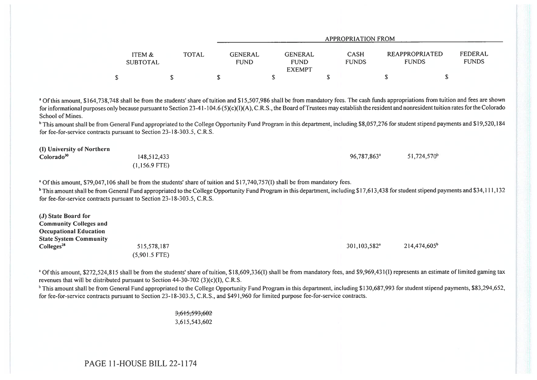|                           |       | APPROPRIATION FROM                                                       |                             |                                       |                         |  |  |  |  |  |
|---------------------------|-------|--------------------------------------------------------------------------|-----------------------------|---------------------------------------|-------------------------|--|--|--|--|--|
| ITEM &<br><b>SUBTOTAL</b> | TOTAL | GENERAL<br><b>GENERAL</b><br><b>FUND</b><br><b>FUND</b><br><b>EXEMPT</b> | <b>CASH</b><br><b>FUNDS</b> | <b>REAPPROPRIATED</b><br><b>FUNDS</b> | FEDERAL<br><b>FUNDS</b> |  |  |  |  |  |
|                           |       |                                                                          |                             |                                       |                         |  |  |  |  |  |

<sup>a</sup> Of this amount, \$164,738,748 shall be from the students' share of tuition and \$15,507,986 shall be from mandatory fees. The cash funds appropriations from tuition and fees are shown for informational purposes only because pursuant to Section 23-41-104.6 (5)(c)(I)(A), C.R.S., the Board of Trustees may establish the resident and nonresident tuition rates for the Colorado School of Mines.

<sup>b</sup> This amount shall be from General Fund appropriated to the College Opportunity Fund Program in this department, including \$8,057,276 for student stipend payments and \$19,520,184 for fee-for-service contracts pursuant to Section 23-18-303.5, C.R.S.

(I) University of Northern Colorado<sup>30</sup> 148,512,433

(1,156.9 FTE)

96,787,863' 51,724,570'

<sup>a</sup> Of this amount, \$79,047,106 shall be from the students' share of tuition and \$17,740,757(1) shall be from mandatory fees.

<sup>b</sup> This amount shall be from General Fund appropriated to the College Opportunity Fund Program in this department, including \$17,613,438 for student stipend payments and \$34,111,132 for fee-for-service contracts pursuant to Section 23-18-303.5, C.R.S.

| (J) State Board for<br><b>Community Colleges and</b><br><b>Occupational Education</b> |                 |                              |                          |
|---------------------------------------------------------------------------------------|-----------------|------------------------------|--------------------------|
| <b>State System Community</b>                                                         |                 |                              |                          |
| Colleges <sup>28</sup>                                                                | 515,578,187     | $301, 103, 582$ <sup>a</sup> | 214,474,605 <sup>b</sup> |
|                                                                                       | $(5,901.5$ FTE) |                              |                          |

<sup>a</sup> Of this amount, \$272,524,815 shall be from the students' share of tuition, \$18,609,336(1) shall be from mandatory fees, and \$9,969,431(1) represents an estimate of limited gaming tax revenues that will be distributed pursuant to Section 44-30-702 (3)(c)(1), C.R.S.

<sup>b</sup> This amount shall be from General Fund appropriated to the College Opportunity Fund Program in this department, including \$130,687,993 for student stipend payments, \$83,294,652, for fee-for-service contracts pursuant to Section 23-18-303.5, C.R.S., and \$491,960 for limited purpose fee-for-service contracts.

> 3,615,593,602 3,615,543,602

PAGE 11-HOUSE BILL 22-1174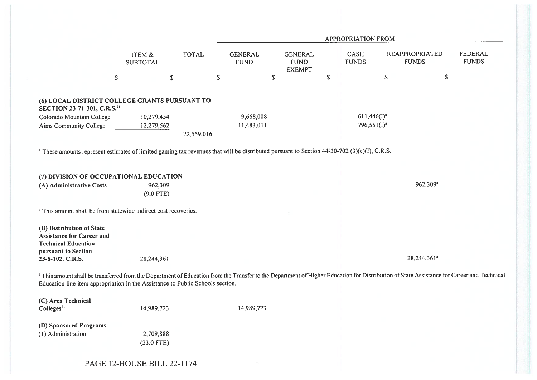|                                                                                                                                                                                                                                                                             |                           |              |                               |                                                |             | APPROPRIATION FROM   |             |                                       |                                |
|-----------------------------------------------------------------------------------------------------------------------------------------------------------------------------------------------------------------------------------------------------------------------------|---------------------------|--------------|-------------------------------|------------------------------------------------|-------------|----------------------|-------------|---------------------------------------|--------------------------------|
|                                                                                                                                                                                                                                                                             | ITEM &<br><b>SUBTOTAL</b> | <b>TOTAL</b> | <b>GENERAL</b><br><b>FUND</b> | <b>GENERAL</b><br><b>FUND</b><br><b>EXEMPT</b> |             | CASH<br><b>FUNDS</b> |             | <b>REAPPROPRIATED</b><br><b>FUNDS</b> | <b>FEDERAL</b><br><b>FUNDS</b> |
| $\mathbb S$                                                                                                                                                                                                                                                                 | \$                        |              | $\mathbb S$                   | $\mathbb S$                                    | $\mathbb S$ |                      | $\mathbb S$ | $\mathbb S$                           |                                |
| (6) LOCAL DISTRICT COLLEGE GRANTS PURSUANT TO<br>SECTION 23-71-301, C.R.S. <sup>21</sup>                                                                                                                                                                                    |                           |              |                               |                                                |             |                      |             |                                       |                                |
| Colorado Mountain College                                                                                                                                                                                                                                                   | 10,279,454                |              | 9,668,008                     |                                                |             | $611,446(I)^{a}$     |             |                                       |                                |
| Aims Community College                                                                                                                                                                                                                                                      | 12,279,562                |              | 11,483,011                    |                                                |             | $796,551(I)^a$       |             |                                       |                                |
|                                                                                                                                                                                                                                                                             |                           | 22,559,016   |                               |                                                |             |                      |             |                                       |                                |
| <sup>a</sup> These amounts represent estimates of limited gaming tax revenues that will be distributed pursuant to Section 44-30-702 (3)(c)(I), C.R.S.                                                                                                                      |                           |              |                               |                                                |             |                      |             |                                       |                                |
| (7) DIVISION OF OCCUPATIONAL EDUCATION                                                                                                                                                                                                                                      |                           |              |                               |                                                |             |                      |             |                                       |                                |
| (A) Administrative Costs                                                                                                                                                                                                                                                    | 962,309                   |              |                               |                                                |             |                      |             | 962,309 <sup>a</sup>                  |                                |
|                                                                                                                                                                                                                                                                             | $(9.0$ FTE)               |              |                               |                                                |             |                      |             |                                       |                                |
| <sup>a</sup> This amount shall be from statewide indirect cost recoveries.                                                                                                                                                                                                  |                           |              |                               |                                                |             |                      |             |                                       |                                |
| (B) Distribution of State<br><b>Assistance for Career and</b><br><b>Technical Education</b><br>pursuant to Section                                                                                                                                                          |                           |              |                               |                                                |             |                      |             |                                       |                                |
| 23-8-102. C.R.S.                                                                                                                                                                                                                                                            | 28,244,361                |              |                               |                                                |             |                      |             | 28,244,361 <sup>ª</sup>               |                                |
| a This amount shall be transferred from the Department of Education from the Transfer to the Department of Higher Education for Distribution of State Assistance for Career and Technical<br>Education line item appropriation in the Assistance to Public Schools section. |                           |              |                               |                                                |             |                      |             |                                       |                                |
| (C) Area Technical<br>Colleges <sup>21</sup>                                                                                                                                                                                                                                | 14,989,723                |              | 14,989,723                    |                                                |             |                      |             |                                       |                                |
| (D) Sponsored Programs<br>(1) Administration                                                                                                                                                                                                                                | 2,709,888<br>$(23.0$ FTE) |              |                               |                                                |             |                      |             |                                       |                                |

## PAGE 12-HOUSE BILL 22-1174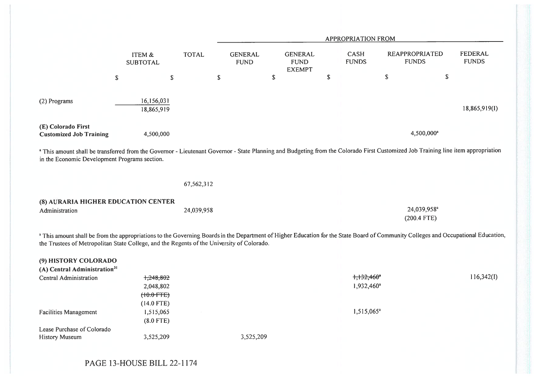|                                                                                            |                                          |              |                               |                                                | <b>APPROPRIATION FROM</b>                           |                                                                                                                                                                                              |                                |
|--------------------------------------------------------------------------------------------|------------------------------------------|--------------|-------------------------------|------------------------------------------------|-----------------------------------------------------|----------------------------------------------------------------------------------------------------------------------------------------------------------------------------------------------|--------------------------------|
|                                                                                            | ITEM &<br><b>SUBTOTAL</b>                | <b>TOTAL</b> | <b>GENERAL</b><br><b>FUND</b> | <b>GENERAL</b><br><b>FUND</b><br><b>EXEMPT</b> | <b>CASH</b><br><b>FUNDS</b>                         | <b>REAPPROPRIATED</b><br><b>FUNDS</b>                                                                                                                                                        | <b>FEDERAL</b><br><b>FUNDS</b> |
|                                                                                            | $\mathbb S$                              | $\mathbb S$  | \$                            | $\mathbb S$                                    | \$                                                  | $\mathbb S$                                                                                                                                                                                  | $\mathbb S$                    |
| (2) Programs                                                                               | 16,156,031<br>18,865,919                 |              |                               |                                                |                                                     |                                                                                                                                                                                              | 18,865,919(I)                  |
| (E) Colorado First<br><b>Customized Job Training</b>                                       | 4,500,000                                |              |                               |                                                |                                                     | 4,500,000 <sup>a</sup>                                                                                                                                                                       |                                |
| in the Economic Development Programs section.                                              |                                          |              |                               |                                                |                                                     | <sup>a</sup> This amount shall be transferred from the Governor - Lieutenant Governor - State Planning and Budgeting from the Colorado First Customized Job Training line item appropriation |                                |
|                                                                                            |                                          | 67,562,312   |                               |                                                |                                                     |                                                                                                                                                                                              |                                |
| (8) AURARIA HIGHER EDUCATION CENTER                                                        |                                          |              |                               |                                                |                                                     |                                                                                                                                                                                              |                                |
| Administration                                                                             |                                          | 24,039,958   |                               |                                                |                                                     | 24,039,958 <sup>a</sup><br>$(200.4$ FTE)                                                                                                                                                     |                                |
| the Trustees of Metropolitan State College, and the Regents of the University of Colorado. |                                          |              |                               |                                                |                                                     | a This amount shall be from the appropriations to the Governing Boards in the Department of Higher Education for the State Board of Community Colleges and Occupational Education,           |                                |
| (9) HISTORY COLORADO<br>(A) Central Administration <sup>31</sup>                           |                                          |              |                               |                                                |                                                     |                                                                                                                                                                                              |                                |
| <b>Central Administration</b>                                                              | 1,248,802<br>2,048,802<br>$(+0.0$ FTE)   |              |                               |                                                | $+1.132,460$ <sup>*</sup><br>1,932,460 <sup>a</sup> |                                                                                                                                                                                              | 116,342(I)                     |
| <b>Facilities Management</b>                                                               | $(14.0$ FTE)<br>1,515,065<br>$(8.0$ FTE) |              |                               |                                                | 1,515,065 <sup>a</sup>                              |                                                                                                                                                                                              |                                |
| Lease Purchase of Colorado                                                                 | 3,525,209                                |              | 3,525,209                     |                                                |                                                     |                                                                                                                                                                                              |                                |
| <b>History Museum</b>                                                                      |                                          |              |                               |                                                |                                                     |                                                                                                                                                                                              |                                |

PAGE 13-HOUSE BILL 22-1174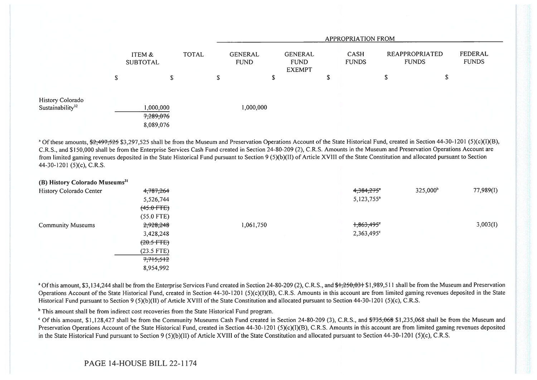|                                                  |                           |                                    |              | <b>APPROPRIATION FROM</b>     |        |                                                |    |                             |    |                                |                         |  |
|--------------------------------------------------|---------------------------|------------------------------------|--------------|-------------------------------|--------|------------------------------------------------|----|-----------------------------|----|--------------------------------|-------------------------|--|
|                                                  | ITEM &<br><b>SUBTOTAL</b> |                                    | <b>TOTAL</b> | <b>GENERAL</b><br><b>FUND</b> |        | <b>GENERAL</b><br><b>FUND</b><br><b>EXEMPT</b> |    | <b>CASH</b><br><b>FUNDS</b> |    | REAPPROPRIATED<br><b>FUNDS</b> | FEDERAL<br><b>FUNDS</b> |  |
|                                                  | \$                        | \$                                 |              | \$                            | œ<br>ъ |                                                | \$ |                             | \$ | \$                             |                         |  |
| History Colorado<br>Sustainability <sup>32</sup> |                           | 000,000,<br>7,289,076<br>8,089,076 |              | 1,000,000                     |        |                                                |    |                             |    |                                |                         |  |

<sup>a</sup> Of these amounts,  $\frac{62}{497525}$  \$3,297,525 shall be from the Museum and Preservation Operations Account of the State Historical Fund, created in Section 44-30-1201 (5)(c)(I)(B), C.R.S., and \$150,000 shall be from the Enterprise Services Cash Fund created in Section 24-80-209 (2), C.R.S. Amounts in the Museum and Preservation Operations Account are from limited gaming revenues deposited in the State Historical Fund pursuant to Section 9 (5)(b)(II) of Article XVIII of the State Constitution and allocated pursuant to Section 44-30-1201 (5)(c), C.R.S.

| (B) History Colorado Museums <sup>31</sup> |                |           |                         |                      |           |
|--------------------------------------------|----------------|-----------|-------------------------|----------------------|-----------|
| History Colorado Center                    | 4,787,264      |           | 4,384,275*              | 325,000 <sup>b</sup> | 77,989(I) |
|                                            | 5,526,744      |           | $5,123,755^a$           |                      |           |
|                                            | $(45.0$ FTE)   |           |                         |                      |           |
|                                            | $(55.0$ FTE)   |           |                         |                      |           |
| <b>Community Museums</b>                   | 2,928,248      | 1,061,750 | $+363,495$ <sup>e</sup> |                      | 3,003(1)  |
|                                            | 3,428,248      |           | 2,363,495°              |                      |           |
|                                            | $(20.5 - FFE)$ |           |                         |                      |           |
|                                            | $(23.5$ FTE)   |           |                         |                      |           |
|                                            | 7,715,512      |           |                         |                      |           |
|                                            | 8,954,992      |           |                         |                      |           |

<sup>a</sup> Of this amount, \$3,134,244 shall be from the Enterprise Services Fund created in Section 24-80-209 (2), C.R.S., and \$1,250,031 \$1,989,511 shall be from the Museum and Preservation Operations Account of the State Historical Fund, created in Section 44-30-1201 (5)(c)(I)(B), C.R.S. Amounts in this account are from limited gaming revenues deposited in the State Historical Fund pursuant to Section 9 (5)(b)(II) of Article XVIII of the State Constitution and allocated pursuant to Section 44-30-1201 (5)(c), C.R.S.

<sup>b</sup> This amount shall be from indirect cost recoveries from the State Historical Fund program.

<sup>c</sup> Of this amount, \$1,128,427 shall be from the Community Museums Cash Fund created in Section 24-80-209 (3), C.R.S., and <del>\$735,068</del> \$1,235,068 shall be from the Museum and Preservation Operations Account of the State Historical Fund, created in Section 44-30-1201 (5)(c)(I)(B), C.R.S. Amounts in this account are from limited gaming revenues deposited in the State Historical Fund pursuant to Section 9 (5)(b)(II) of Article XVIII of the State Constitution and allocated pursuant to Section 44-30-1201 (5)(c), C.R.S.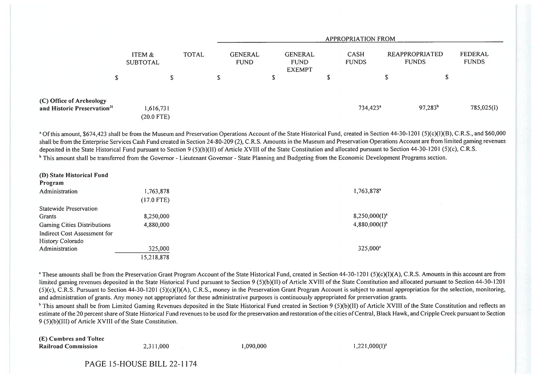|                                                                     |                           |              |                               | APPROPRIATION FROM                             |   |                             |                                |                         |  |  |  |  |
|---------------------------------------------------------------------|---------------------------|--------------|-------------------------------|------------------------------------------------|---|-----------------------------|--------------------------------|-------------------------|--|--|--|--|
|                                                                     | ITEM &<br><b>SUBTOTAL</b> | <b>TOTAL</b> | <b>GENERAL</b><br><b>FUND</b> | <b>GENERAL</b><br><b>FUND</b><br><b>EXEMPT</b> |   | <b>CASH</b><br><b>FUNDS</b> | REAPPROPRIATED<br><b>FUNDS</b> | FEDERAL<br><b>FUNDS</b> |  |  |  |  |
| \$                                                                  |                           | S.           | S                             |                                                | P |                             | \$                             |                         |  |  |  |  |
| (C) Office of Archeology<br>and Historic Preservation <sup>31</sup> | 1,616,731<br>$(20.0$ FTE) |              |                               |                                                |   | 734,423 <sup>a</sup>        | $97,283^{b}$                   | 785,025(I)              |  |  |  |  |

<sup>a</sup> Of this amount, \$674,423 shall be from the Museum and Preservation Operations Account of the State Historical Fund, created in Section 44-30-1201 (5)(c)(1)(B), C.R.S., and \$60,000 shall be from the Enterprise Services Cash Fund created in Section 24-80-209 (2), C.R.S. Amounts in the Museum and Preservation Operations Account are from limited gaming revenues deposited in the State Historical Fund pursuant to Section 9 (5)(b)(II) of Article XVIII of the State Constitution and allocated pursuant to Section 44-30-1201 (5)(c), C.R.S. <sup>b</sup> This amount shall be transferred from the Governor - Lieutenant Governor - State Planning and Budgeting from the Economic Development Programs section.

| (D) State Historical Fund          |              |                           |
|------------------------------------|--------------|---------------------------|
| Program                            |              |                           |
| Administration                     | 1,763,878    | 1,763,878 <sup>a</sup>    |
|                                    | $(17.0$ FTE) |                           |
| Statewide Preservation             |              |                           |
| Grants                             | 8,250,000    | $8,250,000(1)^{a}$        |
| <b>Gaming Cities Distributions</b> | 4,880,000    | 4,880,000(1) <sup>b</sup> |
| Indirect Cost Assessment for       |              |                           |
| History Colorado                   |              |                           |
| Administration                     | 325,000      | $325,000^a$               |
|                                    | 15,218,878   |                           |

<sup>a</sup> These amounts shall be from the Preservation Grant Program Account of the State Historical Fund, created in Section 44-30-1201 (5)(c)(I)(A), C.R.S. Amounts in this account are from limited gaming revenues deposited in the State Historical Fund pursuant to Section 9 (5)(b)(II) of Article XVIII of the State Constitution and allocated pursuant to Section 44-30-1201 (5)(c), C.R.S. Pursuant to Section 44-30-1201 (5)(c)(I)(A), C.R.S., money in the Preservation Grant Program Account is subject to annual appropriation for the selection, monitoring, and administration of grants. Any money not appropriated for these administrative purposes is continuously appropriated for preservation grants.

 $b$  This amount shall be from Limited Gaming Revenues deposited in the State Historical Fund created in Section 9 (5)(b)(II) of Article XVIII of the State Constitution and reflects an estimate of the 20 percent share of State Historical Fund revenues to be used for the preservation and restoration of the cities of Central, Biack Hawk, and Cripple Creek pursuant to Section 9 (5)(b)(III) of Article XVIII of the State Constitution.

(E) Cumbres and Toltec Railroad Commission 2,311,000 1,090,000 1,090,000 1,221,000(I)<sup>4</sup>

PAGE 15-HOUSE BILL 22-1174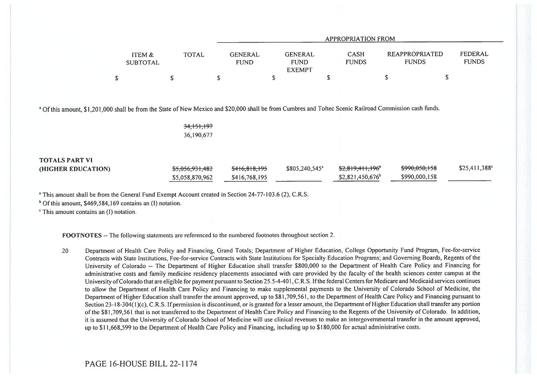|                                      |              | APPROPRIATION FROM                                                              |                             |                                       |                         |  |  |  |  |  |
|--------------------------------------|--------------|---------------------------------------------------------------------------------|-----------------------------|---------------------------------------|-------------------------|--|--|--|--|--|
| <b>ITEM &amp;</b><br><b>SUBTOTAL</b> | <b>TOTAL</b> | <b>GENERAL</b><br><b>GENERAL</b><br><b>FUND</b><br><b>FUND</b><br><b>EXEMPT</b> | <b>CASH</b><br><b>FUNDS</b> | <b>REAPPROPRIATED</b><br><b>FUNDS</b> | FEDERAL<br><b>FUNDS</b> |  |  |  |  |  |
|                                      |              |                                                                                 |                             |                                       |                         |  |  |  |  |  |

<sup>a</sup> Of this amount, \$1,201,000 shall be from the State of New Mexico and \$20,000 shall be from Cumbres and Toltec Scenic Railroad Commission cash funds.

-<del>34.151.197</del> 36,190,677

| <b>TOTALS PART VI</b> |                            |               |                            |                              |               |                            |
|-----------------------|----------------------------|---------------|----------------------------|------------------------------|---------------|----------------------------|
| (HIGHER EDUCATION)    | <del>\$5,056,931,482</del> | \$416,818,195 | \$805,240,545 <sup>a</sup> | <del>\$2,819,411,196</del> ° | \$990,050,158 | $$25,411,388$ <sup>c</sup> |
|                       | \$5,058,870,962            | \$416,768,195 |                            | \$2,821,450,676              | \$990,000,158 |                            |

<sup>a</sup> This amount shall be from the General Fund Exempt Account created in Section 24-77-103.6 (2), C.R.S.

 $<sup>b</sup>$  Of this amount, \$469,584,169 contains an (I) notation.</sup>

' This amount contains an (I) notation.

FOOTNOTES -- The following statements are referenced to the numbered footnotes throughout section 2.

20 Department of Health Care Policy and Financing, Grand Totals; Department of Higher Education, College Opportunity Fund Program, Fee-for-service Contracts with State Institutions, Fee-for-service Contracts with State Institutions for Specialty Education Programs; and Governing Boards, Regents of the University of Colorado -- The Department of Higher Education shall transfer \$800,000 to the Department of Health Care Policy and Financing for administrative costs and family medicine residency placements associated with care provided by the faculty of the health sciences center campus at the University of Colorado that are eligible for payment pursuant to Section 25.5-4-401, C.R.S. If the federal Centers for Medicare and Medicaid services continues to allow the Department of Health Care Policy and Financing to make supplemental payments to the University of Colorado School of Medicine, the Department of Higher Education shall transfer the amount approved, up to \$81,709,561, to the Department of Health Care Policy and Financing pursuant to Section 23-18-304(1)(c), C.R.S. If permission is discontinued, or is granted for a lesser amount, the Department of Higher Education shall transfer any portion of the \$81,709,561 that is not transferred to the Department of Health Care Policy and Financing to the Regents of the University of Colorado. In addition, it is assumed that the University of Colorado School of Medicine will use clinical revenues to make an intergovernmental transfer in the amount approved, up to \$11,668,599 to the Department of Health Care Policy and Financing, including up to \$180,000 for actual administrative costs.

PAGE 16-HOUSE BILL 22-1174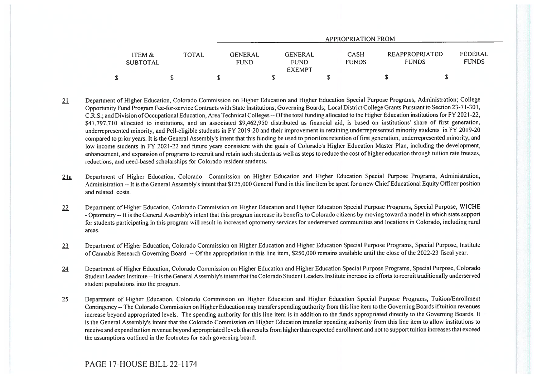|                           |              |                 |                                                | APPROPRIATION FROM          |                                |                         |
|---------------------------|--------------|-----------------|------------------------------------------------|-----------------------------|--------------------------------|-------------------------|
| ITEM &<br><b>SUBTOTAL</b> | <b>TOTAL</b> | GENERAL<br>FUND | <b>GENERAL</b><br><b>FUND</b><br><b>EXEMPT</b> | <b>CASH</b><br><b>FUNDS</b> | REAPPROPRIATED<br><b>FUNDS</b> | FEDERAL<br><b>FUNDS</b> |
|                           |              |                 |                                                |                             |                                |                         |

- 21 Department of Higher Education, Colorado Commission on Higher Education and Higher Education Special Purpose Programs, Administration; College Opportunity Fund Program Fee-for-service Contracts with State Institutions; Governing Boards; Local District College Grants Pursuant to Section 23-71-301, C.R.S.; and Division of Occupational Education, Area Technical Colleges -- Of the total funding allocated to the Higher Education institutions for FY 2021-22, \$41,797,710 allocated to institutions, and an associated \$9,462,950 distributed as financial aid, is based on institutions' share of first generation, underrepresented minority, and Pell-eligible students in FY 2019-20 and their improvement in retaining underrepresented minority students in FY 2019-20 compared to prior years. It is the General Assembly's intent that this funding be used to prioritize retention of first generation, underrepresented minority, and low income students in FY 2021-22 and future years consistent with the goals of Colorado's Higher Education Master Plan, including the development, enhancement, and expansion of programs to recruit and retain such students as well as steps to reduce the cost of higher education through tuition rate freezes, reductions, and need-based scholarships for Colorado resident students.
- 21a Department of Higher Education, Colorado Commission on Higher Education and Higher Education Special Purpose Programs, Administration, Administration -- It is the General Assembly's intent that \$125,000 General Fund in this line item be spent for a new Chief Educational Equity Officer position and related costs.
- 22 Department of Higher Education, Colorado Commission on Higher Education and Higher Education Special Purpose Programs, Special Purpose, WICHE - Optometry -- It is the General Assembly's intent that this program increase its benefits to Colorado citizens by moving toward a model in which state support for students participating in this program will result in increased optometry services for underserved communities and locations in Colorado, including rural areas.
- 23 Department of Higher Education, Colorado Commission on Higher Education and Higher Education Special Purpose Programs, Special Purpose, Institute of Cannabis Research Governing Board -- Of the appropriation in this line item, \$250,000 remains available until the close of the 2022-23 fiscal year.
- 24 Department of Higher Education, Colorado Commission on Higher Education and Higher Education Special Purpose Programs, Special Purpose, Colorado Student Leaders Institute -- It is the General Assembly's intent that the Colorado Student Leaders Institute increase its efforts to recruit traditionally underserved student populations into the program.
- 25 Department of Higher Education, Colorado Commission on Higher Education and Higher Education Special Purpose Programs, Tuition/Enrollment Contingency -- The Colorado Commission on Higher Education may transfer spending authority from this line item to the Governing Boards if tuition revenues increase beyond appropriated levels. The spending authority for this line item is in addition to the funds appropriated directly to the Governing Boards. It is the General Assembly's intent that the Colorado Commission on Higher Education transfer spending authority from this line item to allow institutions to receive and expend tuition revenue beyond appropriated levels that results from higher than expected enrollment and not to support tuition increases that exceed the assumptions outlined in the footnotes for each governing board.

## PAGE 17-HOUSE BILL 22-1174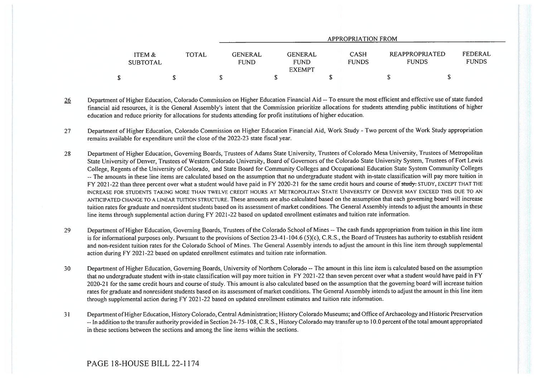|                           |              | APPROPRIATION FROM            |                                                                               |                                |                         |  |  |  |
|---------------------------|--------------|-------------------------------|-------------------------------------------------------------------------------|--------------------------------|-------------------------|--|--|--|
| ITEM &<br><b>SUBTOTAL</b> | <b>TOTAL</b> | <b>GENERAL</b><br><b>FUND</b> | <b>CASH</b><br><b>GENERAL</b><br><b>FUNDS</b><br><b>FUND</b><br><b>EXEMPT</b> | REAPPROPRIATED<br><b>FUNDS</b> | FEDERAL<br><b>FUNDS</b> |  |  |  |
|                           |              |                               |                                                                               |                                |                         |  |  |  |

- 26 Department of Higher Education, Colorado Commission on Higher Education Financial Aid -- To ensure the most efficient and effective use of state funded financial aid resources, it is the General Assembly's intent that the Commission prioritize allocations for students attending public institutions of higher education and reduce priority for allocations for students attending for profit institutions of higher education.
- 27 Department of Higher Education, Colorado Commission on Higher Education Financial Aid, Work Study Two percent of the Work Study appropriation remains available for expenditure until the close of the 2022-23 state fiscal year.
- 28 Department of Higher Education, Governing Boards, Trustees of Adams State University, Trustees of Colorado Mesa University, Trustees of Metropolitan State University of Denver, Trustees of Western Colorado University, Board of Governors of the Colorado State University System, Trustees of Fort Lewis College, Regents of the University of Colorado, and State Board for Community Colleges and Occupational Education State System Community Colleges -- The amounts in these line items are calculated based on the assumption that no undergraduate student with in-state classification will pay more tuition in FY 2021-22 than three percent over what a student would have paid in FY 2020-21 for the same credit hours and course of study- STUDY, EXCEPT THAT THE INCREASE FOR STUDENTS TAKING MORE THAN TWELVE CREDIT HOURS AT METROPOLITAN STATE UNIVERSITY OF DENVER MAY EXCEED THIS DUE TO AN ANTICIPATED CHANGE TO A LINEAR TUITION STRUCTURE. These amounts are also calculated based on the assumption that each governing board will increase tuition rates for graduate and nonresident students based on its assessment of market conditions. The General Assembly intends to adjust the amounts in these line items through supplemental action during FY 2021-22 based on updated enrollment estimates and tuition rate information.
- 29 Department of Higher Education, Governing Boards, Trustees of the Colorado School of Mines -- The cash funds appropriation from tuition in this line item is for informational purposes only. Pursuant to the provisions of Section 23-41-104.6 (5)(c), C.R.S., the Board of Trustees has authority to establish resident and non-resident tuition rates for the Colorado School of Mines. The General Assembly intends to adjust the amount in this line item through supplemental action during FY 2021-22 based on updated enrollment estimates and tuition rate information.
- 30 Department of Higher Education, Governing Boards, University of Northern Colorado -- The amount in this line item is calculated based on the assumption that no undergraduate student with in-state classification will pay more tuition in FY 2021-22 than seven percent over what a student would have paid in FY 2020-21 for the same credit hours and course of study. This amount is also calculated based on the assumption that the governing board will increase tuition rates for graduate and nonresident students based on its assessment of market conditions. The General Assembly intends to adjust the amount in this line item through supplemental action during FY 2021-22 based on updated enrollment estimates and tuition rate information.
- 31 Department of Higher Education, History Colorado, Central Administration; History Colorado Museums; and Office of Archaeology and Historic Preservation -- In addition to the transfer authority provided in Section 24-75-108, C.R.S., History Colorado may transfer up to 10.0 percent of the total amount appropriated in these sections between the sections and among the line items within the sections.

## PAGE 18-HOUSE BILL 22-1174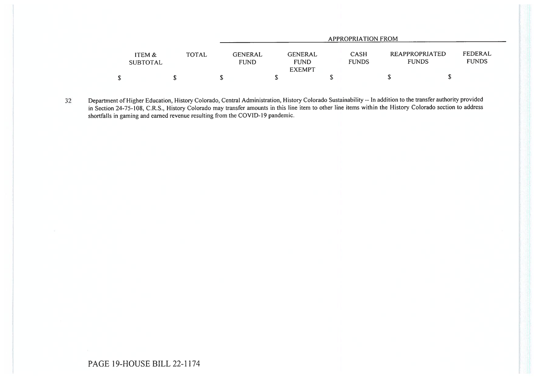|                           |              | APPROPRIATION FROM            |                                                |    |                             |                                |                         |  |
|---------------------------|--------------|-------------------------------|------------------------------------------------|----|-----------------------------|--------------------------------|-------------------------|--|
| ITEM &<br><b>SUBTOTAL</b> | <b>TOTAL</b> | <b>GENERAL</b><br><b>FUND</b> | <b>GENERAL</b><br><b>FUND</b><br><b>EXEMPT</b> |    | <b>CASH</b><br><b>FUNDS</b> | REAPPROPRIATED<br><b>FUNDS</b> | FEDERAL<br><b>FUNDS</b> |  |
| ቍ                         |              |                               |                                                | ۰D |                             |                                | J                       |  |

32 Department of Higher Education, History Colorado, Central Administration, History Colorado Sustainability -- In addition to the transfer authority provided in Section 24-75-108, C.R.S., History Colorado may transfer amounts in this line item to other line items within the History Colorado section to address shortfalls in gaming and earned revenue resulting from the COVID-19 pandemic.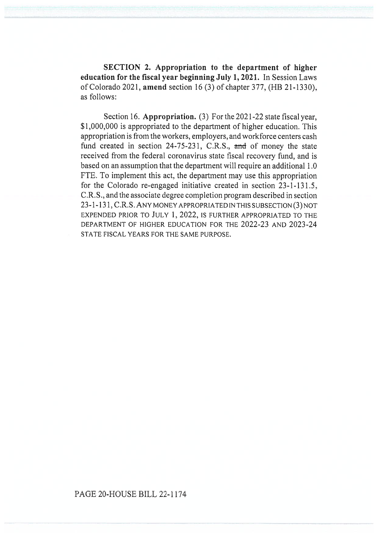SECTION 2. Appropriation to the department of higher education for the fiscal year beginning July 1, 2021. In Session Laws of Colorado 2021, amend section 16 (3) of chapter 377, (HB 21-1330), as follows:

Section 16. Appropriation. (3) For the 2021-22 state fiscal year, \$1,000,000 is appropriated to the department of higher education. This appropriation is from the workers, employers, and workforce centers cash fund created in section 24-75-231, C.R.S., and of money the state received from the federal coronavirus state fiscal recovery fund, and is based on an assumption that the department will require an additional 1.0 FTE. To implement this act, the department may use this appropriation for the Colorado re-engaged initiative created in section 23-1-131.5, C.R.S., and the associate degree completion program described in section 23-1-131, C.R.S. ANY MONEY APPROPRIATED IN THIS SUBSECTION (3) NOT EXPENDED PRIOR TO JULY 1, 2022, IS FURTHER APPROPRIATED TO THE DEPARTMENT OF HIGHER EDUCATION FOR THE 2022-23 AND 2023-24 STATE FISCAL YEARS FOR THE SAME PURPOSE.